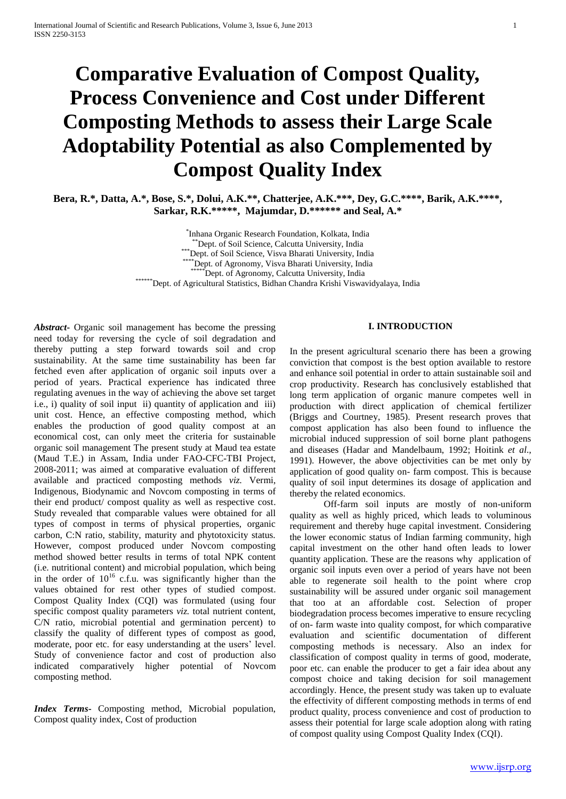# **Comparative Evaluation of Compost Quality, Process Convenience and Cost under Different Composting Methods to assess their Large Scale Adoptability Potential as also Complemented by Compost Quality Index**

**Bera, R.\*, Datta, A.\*, Bose, S.\*, Dolui, A.K.\*\*, Chatterjee, A.K.\*\*\*, Dey, G.C.\*\*\*\*, Barik, A.K.\*\*\*\*, Sarkar, R.K.\*\*\*\*\*, Majumdar, D.\*\*\*\*\*\* and Seal, A.\***

> \* Inhana Organic Research Foundation, Kolkata, India \*\*Dept. of Soil Science, Calcutta University, India \*\*\*Dept. of Soil Science, Visva Bharati University, India \*\*Dept. of Agronomy, Visva Bharati University, India \*Dept. of Agronomy, Calcutta University, India \*\*\*\*\*\*Dept. of Agricultural Statistics, Bidhan Chandra Krishi Viswavidyalaya, India

*Abstract***-** Organic soil management has become the pressing need today for reversing the cycle of soil degradation and thereby putting a step forward towards soil and crop sustainability. At the same time sustainability has been far fetched even after application of organic soil inputs over a period of years. Practical experience has indicated three regulating avenues in the way of achieving the above set target i.e., i) quality of soil input ii) quantity of application and iii) unit cost. Hence, an effective composting method, which enables the production of good quality compost at an economical cost, can only meet the criteria for sustainable organic soil management The present study at Maud tea estate (Maud T.E.) in Assam, India under FAO-CFC-TBI Project, 2008-2011; was aimed at comparative evaluation of different available and practiced composting methods *viz.* Vermi, Indigenous, Biodynamic and Novcom composting in terms of their end product/ compost quality as well as respective cost. Study revealed that comparable values were obtained for all types of compost in terms of physical properties, organic carbon, C:N ratio, stability, maturity and phytotoxicity status. However, compost produced under Novcom composting method showed better results in terms of total NPK content (i.e. nutritional content) and microbial population, which being in the order of  $10^{16}$  c.f.u. was significantly higher than the values obtained for rest other types of studied compost. Compost Quality Index (CQI) was formulated (using four specific compost quality parameters *viz.* total nutrient content, C/N ratio, microbial potential and germination percent) to classify the quality of different types of compost as good, moderate, poor etc. for easy understanding at the users' level. Study of convenience factor and cost of production also indicated comparatively higher potential of Novcom composting method.

*Index Terms***-** Composting method, Microbial population, Compost quality index, Cost of production

# **I. INTRODUCTION**

In the present agricultural scenario there has been a growing conviction that compost is the best option available to restore and enhance soil potential in order to attain sustainable soil and crop productivity. Research has conclusively established that long term application of organic manure competes well in production with direct application of chemical fertilizer (Briggs and Courtney, 1985). Present research proves that compost application has also been found to influence the microbial induced suppression of soil borne plant pathogens and diseases (Hadar and Mandelbaum, 1992; Hoitink *et al*., 1991). However, the above objectivities can be met only by application of good quality on- farm compost. This is because quality of soil input determines its dosage of application and thereby the related economics.

Off-farm soil inputs are mostly of non-uniform quality as well as highly priced, which leads to voluminous requirement and thereby huge capital investment. Considering the lower economic status of Indian farming community, high capital investment on the other hand often leads to lower quantity application. These are the reasons why application of organic soil inputs even over a period of years have not been able to regenerate soil health to the point where crop sustainability will be assured under organic soil management that too at an affordable cost. Selection of proper biodegradation process becomes imperative to ensure recycling of on- farm waste into quality compost, for which comparative evaluation and scientific documentation of different composting methods is necessary. Also an index for classification of compost quality in terms of good, moderate, poor etc. can enable the producer to get a fair idea about any compost choice and taking decision for soil management accordingly. Hence, the present study was taken up to evaluate the effectivity of different composting methods in terms of end product quality, process convenience and cost of production to assess their potential for large scale adoption along with rating of compost quality using Compost Quality Index (CQI).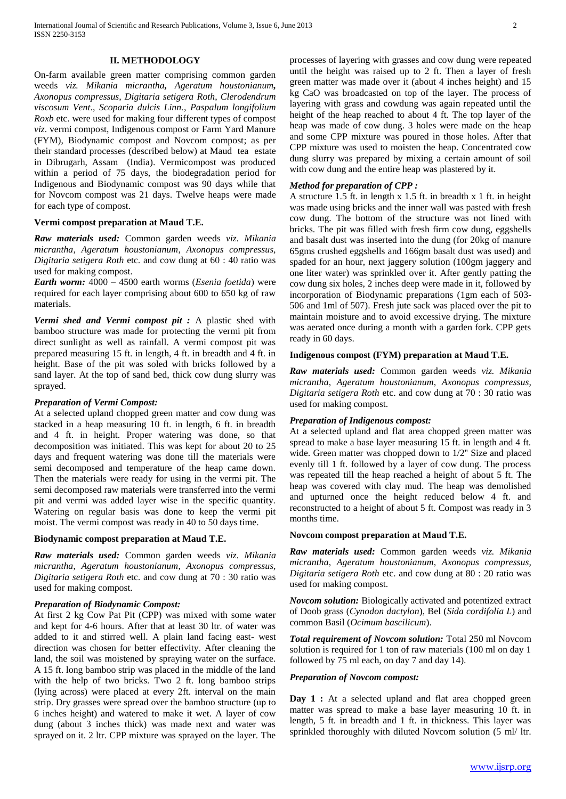# **II. METHODOLOGY**

On-farm available green matter comprising common garden weeds *viz. Mikania micrantha, Ageratum houstonianum, Axonopus compressus, Digitaria setigera Roth*, *Clerodendrum viscosum Vent*., *Scoparia dulcis Linn.*, *Paspalum longifolium Roxb* etc. were used for making four different types of compost *viz*. vermi compost, Indigenous compost or Farm Yard Manure (FYM), Biodynamic compost and Novcom compost; as per their standard processes (described below) at Maud tea estate in Dibrugarh, Assam (India). Vermicompost was produced within a period of 75 days, the biodegradation period for Indigenous and Biodynamic compost was 90 days while that for Novcom compost was 21 days. Twelve heaps were made for each type of compost.

#### **Vermi compost preparation at Maud T.E.**

*Raw materials used:* Common garden weeds *viz. Mikania micrantha*, *Ageratum houstonianum*, *Axonopus compressus, Digitaria setigera Roth* etc. and cow dung at 60 : 40 ratio was used for making compost.

*Earth worm:* 4000 – 4500 earth worms (*Esenia foetida*) were required for each layer comprising about 600 to 650 kg of raw materials.

*Vermi shed and Vermi compost pit :* A plastic shed with bamboo structure was made for protecting the vermi pit from direct sunlight as well as rainfall. A vermi compost pit was prepared measuring 15 ft. in length, 4 ft. in breadth and 4 ft. in height. Base of the pit was soled with bricks followed by a sand layer. At the top of sand bed, thick cow dung slurry was sprayed.

## *Preparation of Vermi Compost:*

At a selected upland chopped green matter and cow dung was stacked in a heap measuring 10 ft. in length, 6 ft. in breadth and 4 ft. in height. Proper watering was done, so that decomposition was initiated. This was kept for about 20 to 25 days and frequent watering was done till the materials were semi decomposed and temperature of the heap came down. Then the materials were ready for using in the vermi pit. The semi decomposed raw materials were transferred into the vermi pit and vermi was added layer wise in the specific quantity. Watering on regular basis was done to keep the vermi pit moist. The vermi compost was ready in 40 to 50 days time.

#### **Biodynamic compost preparation at Maud T.E.**

*Raw materials used:* Common garden weeds *viz. Mikania micrantha*, *Ageratum houstonianum*, *Axonopus compressus, Digitaria setigera Roth* etc. and cow dung at 70 : 30 ratio was used for making compost.

#### *Preparation of Biodynamic Compost:*

At first 2 kg Cow Pat Pit (CPP) was mixed with some water and kept for 4-6 hours. After that at least 30 ltr. of water was added to it and stirred well. A plain land facing east- west direction was chosen for better effectivity. After cleaning the land, the soil was moistened by spraying water on the surface. A 15 ft. long bamboo strip was placed in the middle of the land with the help of two bricks. Two 2 ft. long bamboo strips (lying across) were placed at every 2ft. interval on the main strip. Dry grasses were spread over the bamboo structure (up to 6 inches height) and watered to make it wet. A layer of cow dung (about 3 inches thick) was made next and water was sprayed on it. 2 ltr. CPP mixture was sprayed on the layer. The

processes of layering with grasses and cow dung were repeated until the height was raised up to 2 ft. Then a layer of fresh green matter was made over it (about 4 inches height) and 15 kg CaO was broadcasted on top of the layer. The process of layering with grass and cowdung was again repeated until the height of the heap reached to about 4 ft. The top layer of the heap was made of cow dung. 3 holes were made on the heap and some CPP mixture was poured in those holes. After that CPP mixture was used to moisten the heap. Concentrated cow dung slurry was prepared by mixing a certain amount of soil with cow dung and the entire heap was plastered by it.

## *Method for preparation of CPP :*

A structure 1.5 ft. in length x 1.5 ft. in breadth x 1 ft. in height was made using bricks and the inner wall was pasted with fresh cow dung. The bottom of the structure was not lined with bricks. The pit was filled with fresh firm cow dung, eggshells and basalt dust was inserted into the dung (for 20kg of manure 65gms crushed eggshells and 166gm basalt dust was used) and spaded for an hour, next jaggery solution (100gm jaggery and one liter water) was sprinkled over it. After gently patting the cow dung six holes, 2 inches deep were made in it, followed by incorporation of Biodynamic preparations (1gm each of 503- 506 and 1ml of 507). Fresh jute sack was placed over the pit to maintain moisture and to avoid excessive drying. The mixture was aerated once during a month with a garden fork. CPP gets ready in 60 days.

## **Indigenous compost (FYM) preparation at Maud T.E.**

*Raw materials used:* Common garden weeds *viz. Mikania micrantha*, *Ageratum houstonianum*, *Axonopus compressus, Digitaria setigera Roth* etc. and cow dung at 70 : 30 ratio was used for making compost.

## *Preparation of Indigenous compost:*

At a selected upland and flat area chopped green matter was spread to make a base layer measuring 15 ft. in length and 4 ft. wide. Green matter was chopped down to 1/2'' Size and placed evenly till 1 ft. followed by a layer of cow dung. The process was repeated till the heap reached a height of about 5 ft. The heap was covered with clay mud. The heap was demolished and upturned once the height reduced below 4 ft. and reconstructed to a height of about 5 ft. Compost was ready in 3 months time.

#### **Novcom compost preparation at Maud T.E.**

*Raw materials used:* Common garden weeds *viz. Mikania micrantha*, *Ageratum houstonianum*, *Axonopus compressus, Digitaria setigera Roth* etc. and cow dung at 80 : 20 ratio was used for making compost.

*Novcom solution:* Biologically activated and potentized extract of Doob grass (*Cynodon dactylon*), Bel (*Sida cordifolia L*) and common Basil (*Ocimum bascilicum*).

*Total requirement of Novcom solution:* Total 250 ml Novcom solution is required for 1 ton of raw materials (100 ml on day 1 followed by 75 ml each, on day 7 and day 14).

#### *Preparation of Novcom compost:*

**Day 1 :** At a selected upland and flat area chopped green matter was spread to make a base layer measuring 10 ft. in length, 5 ft. in breadth and 1 ft. in thickness. This layer was sprinkled thoroughly with diluted Novcom solution (5 ml/ ltr.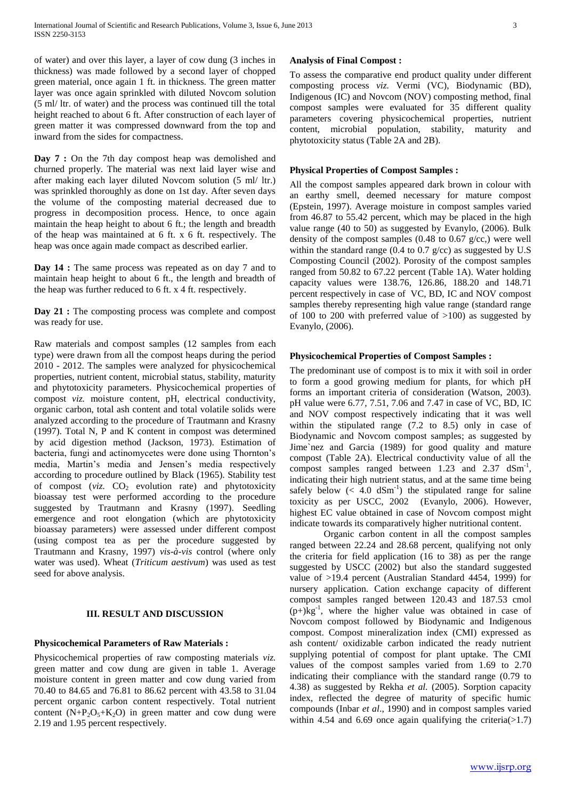of water) and over this layer, a layer of cow dung (3 inches in thickness) was made followed by a second layer of chopped green material, once again 1 ft. in thickness. The green matter layer was once again sprinkled with diluted Novcom solution (5 ml/ ltr. of water) and the process was continued till the total height reached to about 6 ft. After construction of each layer of green matter it was compressed downward from the top and inward from the sides for compactness.

**Day 7 :** On the 7th day compost heap was demolished and churned properly. The material was next laid layer wise and after making each layer diluted Novcom solution (5 ml/ ltr.) was sprinkled thoroughly as done on 1st day. After seven days the volume of the composting material decreased due to progress in decomposition process. Hence, to once again maintain the heap height to about 6 ft.; the length and breadth of the heap was maintained at 6 ft. x 6 ft. respectively. The heap was once again made compact as described earlier.

**Day 14 :** The same process was repeated as on day 7 and to maintain heap height to about 6 ft., the length and breadth of the heap was further reduced to 6 ft. x 4 ft. respectively.

**Day 21 :** The composting process was complete and compost was ready for use.

Raw materials and compost samples (12 samples from each type) were drawn from all the compost heaps during the period 2010 - 2012. The samples were analyzed for physicochemical properties, nutrient content, microbial status, stability, maturity and phytotoxicity parameters. Physicochemical properties of compost *viz.* moisture content, pH, electrical conductivity, organic carbon, total ash content and total volatile solids were analyzed according to the procedure of Trautmann and Krasny (1997). Total N, P and K content in compost was determined by acid digestion method (Jackson, 1973). Estimation of bacteria, fungi and actinomycetes were done using Thornton's media, Martin's media and Jensen's media respectively according to procedure outlined by Black (1965). Stability test of compost ( $viz$ .  $CO<sub>2</sub>$  evolution rate) and phytotoxicity bioassay test were performed according to the procedure suggested by Trautmann and Krasny (1997). Seedling emergence and root elongation (which are phytotoxicity bioassay parameters) were assessed under different compost (using compost tea as per the procedure suggested by Trautmann and Krasny, 1997) *vis-à-vis* control (where only water was used). Wheat (*Triticum aestivum*) was used as test seed for above analysis.

## **III. RESULT AND DISCUSSION**

## **Physicochemical Parameters of Raw Materials :**

Physicochemical properties of raw composting materials *viz.*  green matter and cow dung are given in table 1. Average moisture content in green matter and cow dung varied from 70.40 to 84.65 and 76.81 to 86.62 percent with 43.58 to 31.04 percent organic carbon content respectively. Total nutrient content  $(N+P_2O_5+K_2O)$  in green matter and cow dung were 2.19 and 1.95 percent respectively.

## **Analysis of Final Compost :**

To assess the comparative end product quality under different composting process *viz.* Vermi (VC), Biodynamic (BD), Indigenous (IC) and Novcom (NOV) composting method, final compost samples were evaluated for 35 different quality parameters covering physicochemical properties, nutrient content, microbial population, stability, maturity and phytotoxicity status (Table 2A and 2B).

#### **Physical Properties of Compost Samples :**

All the compost samples appeared dark brown in colour with an earthy smell, deemed necessary for mature compost (Epstein, 1997). Average moisture in compost samples varied from 46.87 to 55.42 percent, which may be placed in the high value range (40 to 50) as suggested by Evanylo, (2006). Bulk density of the compost samples (0.48 to 0.67 g/cc,) were well within the standard range (0.4 to 0.7 g/cc) as suggested by  $U.S$ Composting Council (2002). Porosity of the compost samples ranged from 50.82 to 67.22 percent (Table 1A). Water holding capacity values were 138.76, 126.86, 188.20 and 148.71 percent respectively in case of VC, BD, IC and NOV compost samples thereby representing high value range (standard range of 100 to 200 with preferred value of >100) as suggested by Evanylo, (2006).

## **Physicochemical Properties of Compost Samples :**

The predominant use of compost is to mix it with soil in order to form a good growing medium for plants, for which pH forms an important criteria of consideration (Watson, 2003). pH value were 6.77, 7.51, 7.06 and 7.47 in case of VC, BD, IC and NOV compost respectively indicating that it was well within the stipulated range (7.2 to 8.5) only in case of Biodynamic and Novcom compost samples; as suggested by Jime`nez and Garcia (1989) for good quality and mature compost (Table 2A). Electrical conductivity value of all the compost samples ranged between  $1.23$  and  $2.37$  dSm<sup>-1</sup>, indicating their high nutrient status, and at the same time being safely below  $( $4.0 \text{ dSm}^{-1}$ )$  the stipulated range for saline toxicity as per USCC, 2002 (Evanylo, 2006). However, highest EC value obtained in case of Novcom compost might indicate towards its comparatively higher nutritional content.

Organic carbon content in all the compost samples ranged between 22.24 and 28.68 percent, qualifying not only the criteria for field application (16 to 38) as per the range suggested by USCC (2002) but also the standard suggested value of >19.4 percent (Australian Standard 4454, 1999) for nursery application. Cation exchange capacity of different compost samples ranged between 120.43 and 187.53 cmol  $(p+)kg^{-1}$ , where the higher value was obtained in case of Novcom compost followed by Biodynamic and Indigenous compost. Compost mineralization index (CMI) expressed as ash content/ oxidizable carbon indicated the ready nutrient supplying potential of compost for plant uptake. The CMI values of the compost samples varied from 1.69 to 2.70 indicating their compliance with the standard range (0.79 to 4.38) as suggested by Rekha *et al.* (2005). Sorption capacity index, reflected the degree of maturity of specific humic compounds (Inbar *et al*., 1990) and in compost samples varied within 4.54 and 6.69 once again qualifying the criteria( $>1.7$ )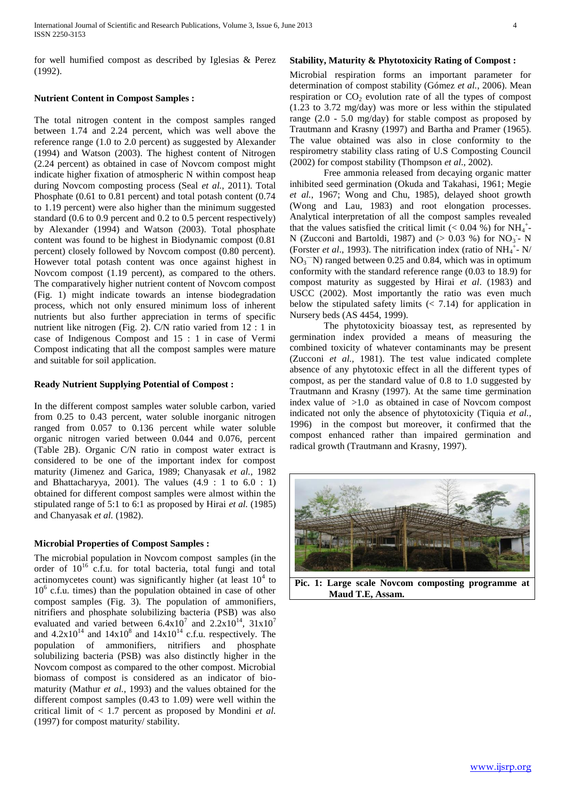for well humified compost as described by Iglesias & Perez (1992).

# **Nutrient Content in Compost Samples :**

The total nitrogen content in the compost samples ranged between 1.74 and 2.24 percent, which was well above the reference range (1.0 to 2.0 percent) as suggested by Alexander (1994) and Watson (2003). The highest content of Nitrogen (2.24 percent) as obtained in case of Novcom compost might indicate higher fixation of atmospheric N within compost heap during Novcom composting process (Seal *et al.*, 2011). Total Phosphate (0.61 to 0.81 percent) and total potash content (0.74 to 1.19 percent) were also higher than the minimum suggested standard (0.6 to 0.9 percent and 0.2 to 0.5 percent respectively) by Alexander (1994) and Watson (2003). Total phosphate content was found to be highest in Biodynamic compost (0.81 percent) closely followed by Novcom compost (0.80 percent). However total potash content was once against highest in Novcom compost (1.19 percent), as compared to the others. The comparatively higher nutrient content of Novcom compost (Fig. 1) might indicate towards an intense biodegradation process, which not only ensured minimum loss of inherent nutrients but also further appreciation in terms of specific nutrient like nitrogen (Fig. 2). C/N ratio varied from 12 : 1 in case of Indigenous Compost and 15 : 1 in case of Vermi Compost indicating that all the compost samples were mature and suitable for soil application.

## **Ready Nutrient Supplying Potential of Compost :**

In the different compost samples water soluble carbon, varied from 0.25 to 0.43 percent, water soluble inorganic nitrogen ranged from 0.057 to 0.136 percent while water soluble organic nitrogen varied between 0.044 and 0.076, percent (Table 2B). Organic C/N ratio in compost water extract is considered to be one of the important index for compost maturity (Jimenez and Garica, 1989; Chanyasak *et al.*, 1982 and Bhattacharyya, 2001). The values  $(4.9 : 1 \text{ to } 6.0 : 1)$ obtained for different compost samples were almost within the stipulated range of 5:1 to 6:1 as proposed by Hirai *et al.* (1985) and Chanyasak *et al.* (1982).

## **Microbial Properties of Compost Samples :**

The microbial population in Novcom compost samples (in the order of  $10^{16}$  c.f.u. for total bacteria, total fungi and total actinomycetes count) was significantly higher (at least  $10<sup>4</sup>$  to 10<sup>6</sup> c.f.u. times) than the population obtained in case of other compost samples (Fig. 3). The population of ammonifiers, nitrifiers and phosphate solubilizing bacteria (PSB) was also evaluated and varied between  $6.4x10^7$  and  $2.2x10^{14}$ ,  $31x10^7$ and  $4.2 \times 10^{14}$  and  $14 \times 10^{8}$  and  $14 \times 10^{14}$  c.f.u. respectively. The population of ammonifiers, nitrifiers and phosphate solubilizing bacteria (PSB) was also distinctly higher in the Novcom compost as compared to the other compost. Microbial biomass of compost is considered as an indicator of biomaturity (Mathur *et al.*, 1993) and the values obtained for the different compost samples (0.43 to 1.09) were well within the critical limit of < 1.7 percent as proposed by Mondini *et al.* (1997) for compost maturity/ stability.

## **Stability, Maturity & Phytotoxicity Rating of Compost :**

Microbial respiration forms an important parameter for determination of compost stability (Gómez *et al.*, 2006). Mean respiration or  $CO<sub>2</sub>$  evolution rate of all the types of compost (1.23 to 3.72 mg/day) was more or less within the stipulated range (2.0 - 5.0 mg/day) for stable compost as proposed by Trautmann and Krasny (1997) and Bartha and Pramer (1965). The value obtained was also in close conformity to the respirometry stability class rating of U.S Composting Council (2002) for compost stability (Thompson *et al*., 2002).

Free ammonia released from decaying organic matter inhibited seed germination (Okuda and Takahasi, 1961; Megie *et al.*, 1967; Wong and Chu, 1985), delayed shoot growth (Wong and Lau, 1983) and root elongation processes. Analytical interpretation of all the compost samples revealed that the values satisfied the critical limit (< 0.04 %) for NH<sub>4</sub><sup>+</sup>-N (Zucconi and Bartoldi, 1987) and  $(> 0.03 \%)$  for NO<sub>3</sub> - N (Forster *et al.*, 1993). The nitrification index (ratio of  $NH_4^+$ - N/  $NO<sub>3</sub><sup>-</sup>N)$  ranged between 0.25 and 0.84, which was in optimum conformity with the standard reference range (0.03 to 18.9) for compost maturity as suggested by Hirai *et al*. (1983) and USCC (2002). Most importantly the ratio was even much below the stipulated safety limits  $(< 7.14)$  for application in Nursery beds (AS 4454, 1999).

The phytotoxicity bioassay test, as represented by germination index provided a means of measuring the combined toxicity of whatever contaminants may be present (Zucconi *et al.,* 1981). The test value indicated complete absence of any phytotoxic effect in all the different types of compost, as per the standard value of 0.8 to 1.0 suggested by Trautmann and Krasny (1997). At the same time germination index value of  $>1.0$  as obtained in case of Novcom compost indicated not only the absence of phytotoxicity (Tiquia *et al.*, 1996) in the compost but moreover, it confirmed that the compost enhanced rather than impaired germination and radical growth (Trautmann and Krasny, 1997).



**Pic. 1: Large scale Novcom composting programme at Maud T.E, Assam.**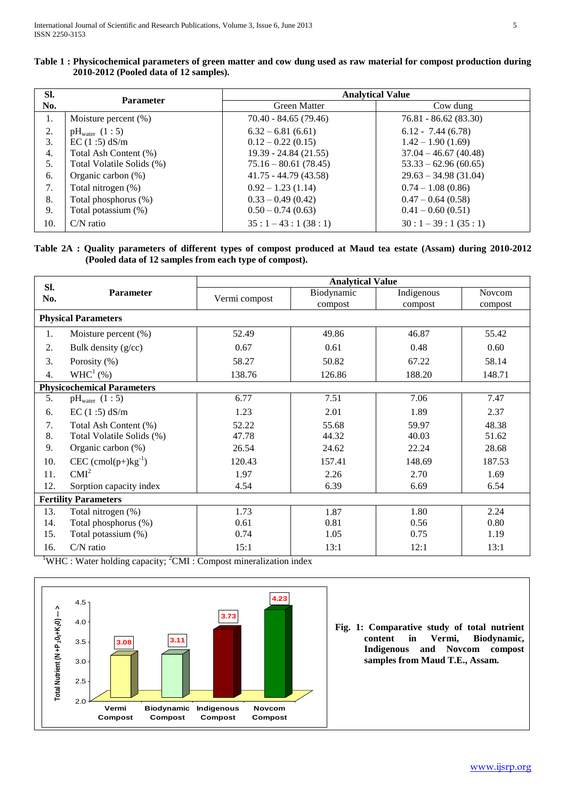| SI. | <b>Parameter</b>          | <b>Analytical Value</b> |                        |  |  |  |  |
|-----|---------------------------|-------------------------|------------------------|--|--|--|--|
| No. |                           | <b>Green Matter</b>     | Cow dung               |  |  |  |  |
| 1.  | Moisture percent $(\%)$   | 70.40 - 84.65 (79.46)   | $76.81 - 86.62(83.30)$ |  |  |  |  |
| 2.  | $pH_{\text{water}}(1:5)$  | $6.32 - 6.81(6.61)$     | $6.12 - 7.44(6.78)$    |  |  |  |  |
| 3.  | EC(1:5) dS/m              | $0.12 - 0.22(0.15)$     | $1.42 - 1.90(1.69)$    |  |  |  |  |
| 4.  | Total Ash Content (%)     | $19.39 - 24.84(21.55)$  | $37.04 - 46.67(40.48)$ |  |  |  |  |
| 5.  | Total Volatile Solids (%) | $75.16 - 80.61(78.45)$  | $53.33 - 62.96(60.65)$ |  |  |  |  |
| 6.  | Organic carbon (%)        | $41.75 - 44.79(43.58)$  | $29.63 - 34.98(31.04)$ |  |  |  |  |
| 7.  | Total nitrogen (%)        | $0.92 - 1.23(1.14)$     | $0.74 - 1.08(0.86)$    |  |  |  |  |
| 8.  | Total phosphorus (%)      | $0.33 - 0.49(0.42)$     | $0.47 - 0.64$ (0.58)   |  |  |  |  |
| 9.  | Total potassium (%)       | $0.50 - 0.74(0.63)$     | $0.41 - 0.60(0.51)$    |  |  |  |  |
| 10. | $C/N$ ratio               | $35:1-43:1(38:1)$       | $30:1-39:1(35:1)$      |  |  |  |  |

**Table 1 : Physicochemical parameters of green matter and cow dung used as raw material for compost production during 2010-2012 (Pooled data of 12 samples).**

**Table 2A : Quality parameters of different types of compost produced at Maud tea estate (Assam) during 2010-2012 (Pooled data of 12 samples from each type of compost).**

| SI.                         | <b>Parameter</b>                  | <b>Analytical Value</b> |            |            |         |  |  |  |
|-----------------------------|-----------------------------------|-------------------------|------------|------------|---------|--|--|--|
| No.                         |                                   | Vermi compost           | Biodynamic | Indigenous | Novcom  |  |  |  |
|                             |                                   |                         | compost    | compost    | compost |  |  |  |
|                             | <b>Physical Parameters</b>        |                         |            |            |         |  |  |  |
| 1.                          | Moisture percent (%)              | 52.49                   | 49.86      | 46.87      | 55.42   |  |  |  |
| 2.                          | Bulk density (g/cc)               | 0.67                    | 0.61       | 0.48       | 0.60    |  |  |  |
| 3.                          | Porosity (%)                      | 58.27                   | 50.82      | 67.22      | 58.14   |  |  |  |
| 4.                          | WHC <sup>1</sup> (%)              | 138.76                  | 126.86     | 188.20     | 148.71  |  |  |  |
|                             | <b>Physicochemical Parameters</b> |                         |            |            |         |  |  |  |
| 5.                          | $pH_{water}$ (1 : 5)              | 6.77                    | 7.51       | 7.06       | 7.47    |  |  |  |
| 6.                          | $EC(1:5)$ dS/m                    | 1.23                    | 2.01       | 1.89       | 2.37    |  |  |  |
| 7.                          | Total Ash Content (%)             | 52.22                   | 55.68      | 59.97      | 48.38   |  |  |  |
| 8.                          | Total Volatile Solids (%)         | 47.78                   | 44.32      | 40.03      | 51.62   |  |  |  |
| 9.                          | Organic carbon (%)                | 26.54                   | 24.62      | 22.24      | 28.68   |  |  |  |
| 10.                         | $CEC (cmol(p+)kg^{-1})$           | 120.43                  | 157.41     | 148.69     | 187.53  |  |  |  |
| 11.                         | CMI <sup>2</sup>                  | 1.97                    | 2.26       | 2.70       | 1.69    |  |  |  |
| 12.                         | Sorption capacity index           | 4.54                    | 6.39       | 6.69       | 6.54    |  |  |  |
| <b>Fertility Parameters</b> |                                   |                         |            |            |         |  |  |  |
| 13.                         | Total nitrogen (%)                | 1.73                    | 1.87       | 1.80       | 2.24    |  |  |  |
| 14.                         | Total phosphorus (%)              | 0.61                    | 0.81       | 0.56       | 0.80    |  |  |  |
| 15.                         | Total potassium (%)               | 0.74                    | 1.05       | 0.75       | 1.19    |  |  |  |
| 16.                         | $C/N$ ratio                       | 15:1                    | 13:1       | 12:1       | 13:1    |  |  |  |

 $1$ WHC : Water holding capacity;  $2$ CMI : Compost mineralization index



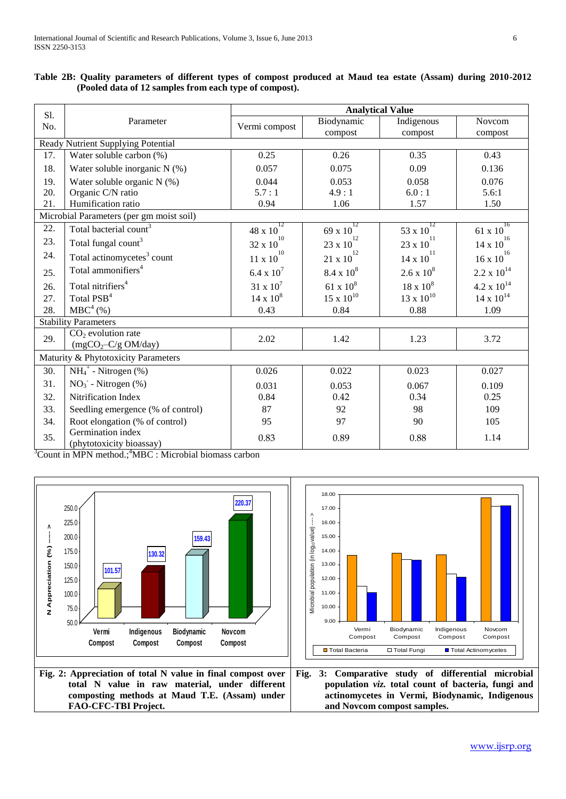|            |                                               | <b>Analytical Value</b>   |                           |                            |                           |  |  |  |
|------------|-----------------------------------------------|---------------------------|---------------------------|----------------------------|---------------------------|--|--|--|
| S1.<br>No. | Parameter                                     | Vermi compost             | Biodynamic<br>compost     | Indigenous<br>compost      | Novcom<br>compost         |  |  |  |
|            | Ready Nutrient Supplying Potential            |                           |                           |                            |                           |  |  |  |
| 17.        | Water soluble carbon (%)                      | 0.25                      | 0.26                      | 0.35                       | 0.43                      |  |  |  |
| 18.        | Water soluble inorganic $N$ (%)               | 0.057                     | 0.075                     | 0.09                       | 0.136                     |  |  |  |
| 19.        | Water soluble organic $N$ (%)                 | 0.044                     | 0.053                     | 0.058                      | 0.076                     |  |  |  |
| 20.        | Organic C/N ratio                             | 5.7:1                     | 4.9:1                     | 6.0:1                      | 5.6:1                     |  |  |  |
| 21.        | Humification ratio                            | 0.94                      | 1.06                      | 1.57                       | 1.50                      |  |  |  |
|            | Microbial Parameters (per gm moist soil)      |                           |                           |                            |                           |  |  |  |
| 22.        | Total bacterial count <sup>3</sup>            | 12<br>48 x 10             | 12<br>$69 \times 10$      | 12<br>$53 \times 10^{4}$   | 16<br>61 x 10             |  |  |  |
| 23.        | Total fungal count <sup>3</sup>               | 10<br>$32 \times 10^{-7}$ | $23 \times 10^{1}$        | $23$ x $10^\mathrm{11}$    | 16<br>$14 \times 10^{-7}$ |  |  |  |
| 24.        | Total actinomycetes <sup>3</sup> count        | 10<br>$11 \times 10^{4}$  | $21\,{\rm x}\,10^{^{12}}$ | -11<br>$14 \times 10^{-7}$ | 16<br>$16 \times 10^{-7}$ |  |  |  |
| 25.        | Total ammonifiers <sup>4</sup>                | 6.4 x $10^{7}$            | $8.4 \times 10^8$         | $2.6 \times 10^8$          | $2.2 \times 10^{14}$      |  |  |  |
| 26.        | Total nitrifiers <sup>4</sup>                 | $31 \times 10^7$          | $61 \times 10^8$          | $18 \times 10^8$           | $4.2 \times 10^{14}$      |  |  |  |
| 27.        | Total PSB <sup>4</sup>                        | $14 \times 10^8$          | $15 \times 10^{10}$       | $13 \times 10^{10}$        | $14 \times 10^{14}$       |  |  |  |
| 28.        | MBC <sup>4</sup> (%)                          | 0.43                      | 0.84                      | 0.88                       | 1.09                      |  |  |  |
|            | <b>Stability Parameters</b>                   |                           |                           |                            |                           |  |  |  |
| 29.        | $CO2$ evolution rate<br>$(mgCO2-C/gOM/day)$   | 2.02                      | 1.42                      | 1.23                       | 3.72                      |  |  |  |
|            | Maturity & Phytotoxicity Parameters           |                           |                           |                            |                           |  |  |  |
| 30.        | $NH_4^+$ - Nitrogen (%)                       | 0.026                     | 0.022                     | 0.023                      | 0.027                     |  |  |  |
| 31.        | $NO3$ - Nitrogen (%)                          | 0.031                     | 0.053                     | 0.067                      | 0.109                     |  |  |  |
| 32.        | Nitrification Index                           | 0.84                      | 0.42                      | 0.34                       | 0.25                      |  |  |  |
| 33.        | Seedling emergence (% of control)             | 87                        | 92                        | 98                         | 109                       |  |  |  |
| 34.        | Root elongation (% of control)                | 95                        | 97                        | 90                         | 105                       |  |  |  |
| 35.        | Germination index<br>(phytotoxicity bioassay) | 0.83                      | 0.89                      | 0.88                       | 1.14                      |  |  |  |

|  | Table 2B: Quality parameters of different types of compost produced at Maud tea estate (Assam) during 2010-2012 |  |  |  |  |  |  |
|--|-----------------------------------------------------------------------------------------------------------------|--|--|--|--|--|--|
|  | (Pooled data of 12 samples from each type of compost).                                                          |  |  |  |  |  |  |

 $3$ Count in MPN method.; $3$ MBC : Microbial biomass carbon

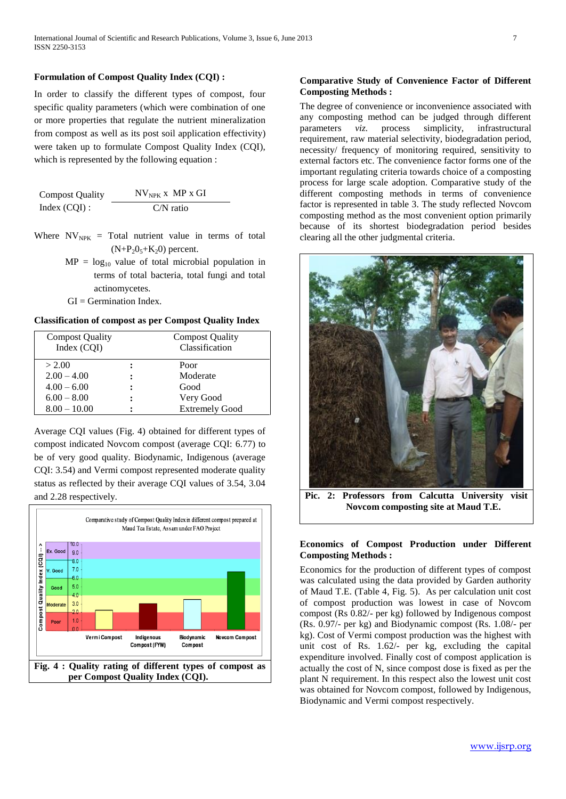## **Formulation of Compost Quality Index (CQI) :**

In order to classify the different types of compost, four specific quality parameters (which were combination of one or more properties that regulate the nutrient mineralization from compost as well as its post soil application effectivity) were taken up to formulate Compost Quality Index (CQI), which is represented by the following equation :

| <b>Compost Quality</b> | $N V_{NPK}$ x MP x GI |
|------------------------|-----------------------|
| Index $(CQI)$ :        | $C/N$ ratio           |

- Where  $NV_{NPK}$  = Total nutrient value in terms of total  $(N+P_2O_5+K_2O)$  percent.
	- $MP = log_{10}$  value of total microbial population in terms of total bacteria, total fungi and total actinomycetes.
	- $GI = Germanian Index$ .

## **Classification of compost as per Compost Quality Index**

| <b>Compost Quality</b><br>Index (CQI) | <b>Compost Quality</b><br>Classification |
|---------------------------------------|------------------------------------------|
| > 2.00                                | Poor                                     |
| $2.00 - 4.00$                         | Moderate                                 |
| $4.00 - 6.00$                         | Good                                     |
| $6.00 - 8.00$                         | Very Good                                |
| $8.00 - 10.00$                        | <b>Extremely Good</b>                    |

Average CQI values (Fig. 4) obtained for different types of compost indicated Novcom compost (average CQI: 6.77) to be of very good quality. Biodynamic, Indigenous (average CQI: 3.54) and Vermi compost represented moderate quality status as reflected by their average CQI values of 3.54, 3.04 and 2.28 respectively.



## **Comparative Study of Convenience Factor of Different Composting Methods :**

The degree of convenience or inconvenience associated with any composting method can be judged through different parameters *viz.* process simplicity, infrastructural requirement, raw material selectivity, biodegradation period, necessity/ frequency of monitoring required, sensitivity to external factors etc. The convenience factor forms one of the important regulating criteria towards choice of a composting process for large scale adoption. Comparative study of the different composting methods in terms of convenience factor is represented in table 3. The study reflected Novcom composting method as the most convenient option primarily because of its shortest biodegradation period besides clearing all the other judgmental criteria.



**Pic. 2: Professors from Calcutta University visit Novcom composting site at Maud T.E.**

## **Economics of Compost Production under Different Composting Methods :**

Economics for the production of different types of compost was calculated using the data provided by Garden authority of Maud T.E. (Table 4, Fig. 5). As per calculation unit cost of compost production was lowest in case of Novcom compost (Rs 0.82/- per kg) followed by Indigenous compost (Rs. 0.97/- per kg) and Biodynamic compost (Rs. 1.08/- per kg). Cost of Vermi compost production was the highest with unit cost of Rs. 1.62/- per kg, excluding the capital expenditure involved. Finally cost of compost application is actually the cost of N, since compost dose is fixed as per the plant N requirement. In this respect also the lowest unit cost was obtained for Novcom compost, followed by Indigenous, Biodynamic and Vermi compost respectively.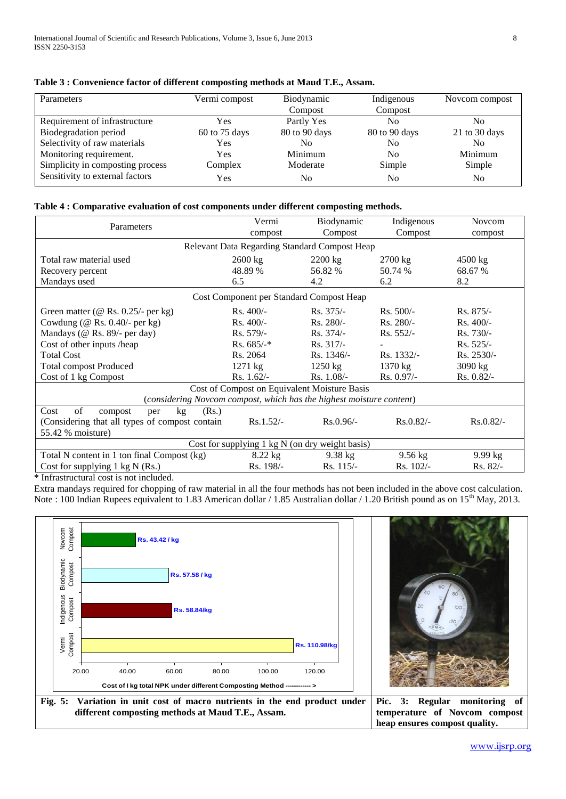| Parameters                       | Vermi compost | Biodynamic    | Indigenous     | Novcom compost |
|----------------------------------|---------------|---------------|----------------|----------------|
|                                  |               | Compost       | Compost        |                |
| Requirement of infrastructure    | Yes           | Partly Yes    | N <sub>0</sub> | No             |
| Biodegradation period            | 60 to 75 days | 80 to 90 days | 80 to 90 days  | 21 to 30 days  |
| Selectivity of raw materials     | Yes           | No            | No             | No             |
| Monitoring requirement.          | Yes           | Minimum       | No.            | Minimum        |
| Simplicity in composting process | Complex       | Moderate      | Simple         | Simple         |
| Sensitivity to external factors  | Yes           | No            | No             | No             |

**Table 3 : Convenience factor of different composting methods at Maud T.E., Assam.**

# **Table 4 : Comparative evaluation of cost components under different composting methods.**

| Parameters                                                           | Vermi                                    | Biodynamic                                   | Indigenous        | <b>Novcom</b> |  |  |  |  |
|----------------------------------------------------------------------|------------------------------------------|----------------------------------------------|-------------------|---------------|--|--|--|--|
|                                                                      | compost                                  | Compost                                      | Compost           | compost       |  |  |  |  |
| Relevant Data Regarding Standard Compost Heap                        |                                          |                                              |                   |               |  |  |  |  |
| Total raw material used                                              | 2600 kg                                  | $2200$ kg                                    | $2700$ kg         | 4500 kg       |  |  |  |  |
| Recovery percent                                                     | 48.89 %                                  | 56.82 %                                      | 50.74 %           | 68.67 %       |  |  |  |  |
| Mandays used                                                         | 6.5                                      | 4.2                                          | 6.2               | 8.2           |  |  |  |  |
|                                                                      | Cost Component per Standard Compost Heap |                                              |                   |               |  |  |  |  |
| Green matter (@ Rs. $0.25/-$ per kg)                                 | $Rs.400/-$                               | $Rs. 375/-$                                  | $Rs. 500/-$       | $Rs. 875/-$   |  |  |  |  |
| Cowdung ( $@$ Rs. 0.40/- per kg)                                     | $Rs.400/-$                               | $Rs. 280/-$                                  | $Rs. 280/-$       | $Rs.400/-$    |  |  |  |  |
| Mandays (@ Rs. 89/- per day)                                         | $Rs. 579/-$                              | $Rs. 374/-$                                  | $Rs. 552/-$       | $Rs.730/-$    |  |  |  |  |
| Cost of other inputs /heap                                           | $Rs. 685/-$ *                            | $Rs. 317/-$                                  |                   | $Rs. 525/-$   |  |  |  |  |
| <b>Total Cost</b>                                                    | Rs. 2064                                 | $Rs. 1346/-$                                 | Rs. 1332/-        | Rs. 2530/-    |  |  |  |  |
| <b>Total compost Produced</b>                                        | $1271 \text{ kg}$                        | $1250 \text{ kg}$                            | $1370 \text{ kg}$ | 3090 kg       |  |  |  |  |
| Cost of 1 kg Compost                                                 | $Rs. 1.62/-$                             | $Rs. 1.08/-$                                 | $Rs. 0.97/-$      | $Rs. 0.82/-$  |  |  |  |  |
|                                                                      |                                          | Cost of Compost on Equivalent Moisture Basis |                   |               |  |  |  |  |
| (considering Novcom compost, which has the highest moisture content) |                                          |                                              |                   |               |  |  |  |  |
| of<br>Cost<br>(Rs.)<br>kg <sub>2</sub><br>compost<br>per             |                                          |                                              |                   |               |  |  |  |  |
| (Considering that all types of compost contain                       | $Rs.1.52/-$                              | $Rs.0.96/-$                                  | $Rs.0.82/-$       | $Rs.0.82/-$   |  |  |  |  |
| 55.42 % moisture)                                                    |                                          |                                              |                   |               |  |  |  |  |
| Cost for supplying 1 kg N (on dry weight basis)                      |                                          |                                              |                   |               |  |  |  |  |
| Total N content in 1 ton final Compost (kg)                          | $8.22$ kg                                | $9.38$ kg                                    | $9.56$ kg         | $9.99$ kg     |  |  |  |  |
| Cost for supplying $1 \text{ kg N (Rs.)}$                            | Rs. 198/-                                | $Rs. 115/-$                                  | $Rs. 102/-$       | $Rs. 82/-$    |  |  |  |  |

\* Infrastructural cost is not included.

Extra mandays required for chopping of raw material in all the four methods has not been included in the above cost calculation. Note : 100 Indian Rupees equivalent to 1.83 American dollar / 1.85 Australian dollar / 1.20 British pound as on 15<sup>th</sup> May, 2013.





**Fig. 5: Variation in unit cost of macro nutrients in the end product under different composting methods at Maud T.E., Assam. Pic. 3: Regular monitoring of temperature of Novcom compost heap ensures compost quality.**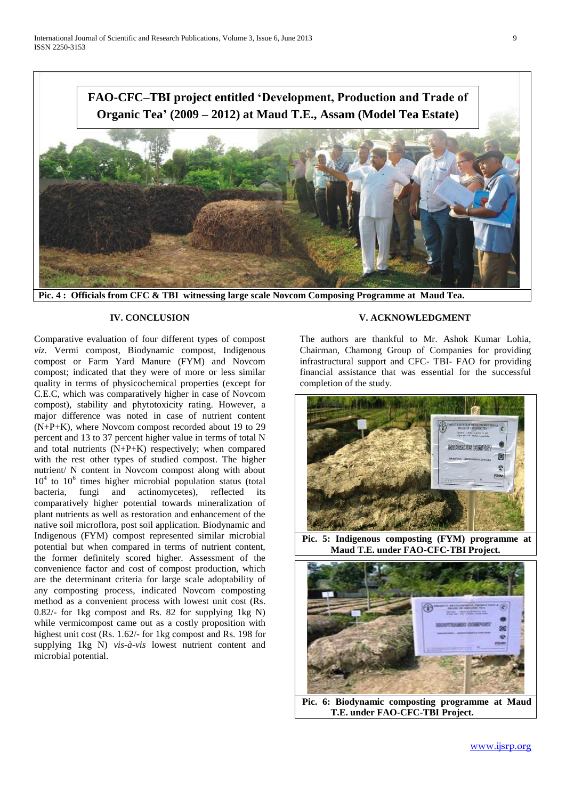

**Pic. 4 : Officials from CFC & TBI witnessing large scale Novcom Composing Programme at Maud Tea.**

## **IV. CONCLUSION**

Comparative evaluation of four different types of compost *viz.* Vermi compost, Biodynamic compost, Indigenous compost or Farm Yard Manure (FYM) and Novcom compost; indicated that they were of more or less similar quality in terms of physicochemical properties (except for C.E.C, which was comparatively higher in case of Novcom compost), stability and phytotoxicity rating. However, a major difference was noted in case of nutrient content (N+P+K), where Novcom compost recorded about 19 to 29 percent and 13 to 37 percent higher value in terms of total N and total nutrients (N+P+K) respectively; when compared with the rest other types of studied compost. The higher nutrient/ N content in Novcom compost along with about 10<sup>4</sup> to 10<sup>6</sup> times higher microbial population status (total bacteria, fungi and actinomycetes), reflected its comparatively higher potential towards mineralization of plant nutrients as well as restoration and enhancement of the native soil microflora, post soil application. Biodynamic and Indigenous (FYM) compost represented similar microbial potential but when compared in terms of nutrient content, the former definitely scored higher. Assessment of the convenience factor and cost of compost production, which are the determinant criteria for large scale adoptability of any composting process, indicated Novcom composting method as a convenient process with lowest unit cost (Rs. 0.82/- for 1kg compost and Rs. 82 for supplying 1kg N) while vermicompost came out as a costly proposition with highest unit cost (Rs. 1.62/- for 1kg compost and Rs. 198 for supplying 1kg N) *vis-à-vis* lowest nutrient content and microbial potential.

# **V. ACKNOWLEDGMENT**

The authors are thankful to Mr. Ashok Kumar Lohia, Chairman, Chamong Group of Companies for providing infrastructural support and CFC- TBI- FAO for providing financial assistance that was essential for the successful completion of the study.



**Pic. 5: Indigenous composting (FYM) programme at Maud T.E. under FAO-CFC-TBI Project.**



**Pic. 6: Biodynamic composting programme at Maud T.E. under FAO-CFC-TBI Project.**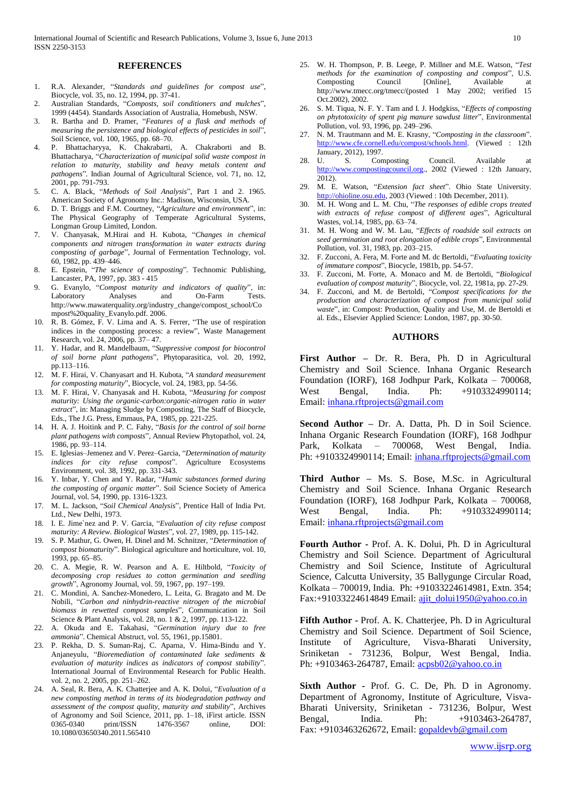#### **REFERENCES**

- 1. R.A. Alexander, "*Standards and guidelines for compost use*", Biocycle, vol. 35, no. 12, 1994, pp. 37-41.
- 2. Australian Standards, "*Composts, soil conditioners and mulches*", 1999 (4454). Standards Association of Australia, Homebush, NSW.
- 3. R. Bartha and D. Pramer, "*Features of a flask and methods of measuring the persistence and biological effects of pesticides in soil*", Soil Science, vol. 100, 1965, pp. 68–70.
- 4. P. Bhattacharyya, K. Chakrabarti, A. Chakraborti and B. Bhattacharya, "*Characterization of municipal solid waste compost in relation to maturity, stability and heavy metals content and pathogens*"*.* Indian Journal of Agricultural Science, vol. 71, no. 12, 2001, pp. 791-793.
- 5. C. A. Black, "*Methods of Soil Analysis*", Part 1 and 2. 1965. American Society of Agronomy Inc.: Madison, Wisconsin, USA.
- 6. D. T. Briggs and F.M. Courtney, "*Agriculture and environment*", in: The Physical Geography of Temperate Agricultural Systems, Longman Group Limited, London.
- 7. V. Chanyasak, M.Hirai and H. Kubota, "*Changes in chemical components and nitrogen transformation in water extracts during composting of garbage*", Journal of Fermentation Technology, vol. 60, 1982, pp. 439–446.
- 8. E. Epstein, "*The science of composting*". Technomic Publishing, Lancaster, PA, 1997, pp. 383 - 415
- 9. G. Evanylo, "*Compost maturity and indicators of quality*", in: Laboratory Analyses and On-Farm Tests. http://www.mawaterquality.org/industry\_change/compost\_school/Co mpost%20quality\_Evanylo.pdf. 2006.
- 10. R. B. Gómez, F. V. Lima and A. S. Ferrer, "The use of respiration indices in the composting process: a review", Waste Management Research, vol. 24, 2006, pp. 37– 47.
- 11. Y. Hadar, and R. Mandelbaum, "*Suppressive compost for biocontrol of soil borne plant pathogens*", Phytoparasitica, vol. 20, 1992, pp.113–116.
- 12. M. F. Hirai, V. Chanyasart and H. Kubota, "*A standard measurement for composting maturity*", Biocycle, vol. 24, 1983, pp. 54-56.
- 13. M. F. Hirai, V. Chanyasak and H. Kubota, "*Measuring for compost maturity: Using the organic-carbon:organic-nitrogen ratio in water extract*", in: Managing Sludge by Composting, The Staff of Biocycle, Eds., The J.G. Press, Emmaus, PA, 1985, pp. 221-225.
- 14. H. A. J. Hoitink and P. C. Fahy, "*Basis for the control of soil borne plant pathogens with composts*", Annual Review Phytopathol, vol. 24, 1986, pp. 93–114.
- 15. E. Iglesias–Jemenez and V. Perez–Garcia, "*Determination of maturity indices for city refuse compost*". Agriculture Ecosystems Environment, vol. 38, 1992, pp. 331-343.
- 16. Y. Inbar, Y. Chen and Y. Radar, "*Humic substances formed during the composting of organic matter*". Soil Science Society of America Journal, vol. 54, 1990, pp. 1316-1323.
- 17. M. L. Jackson, "*Soil Chemical Analysis*", Prentice Hall of India Pvt. Ltd., New Delhi, 1973.
- 18. I. E. Jime`nez and P. V. Garcia, "*Evaluation of city refuse compost maturity: A Review. Biological Wastes*", vol. 27, 1989, pp. 115-142.
- 19. S. P. Mathur, G. Owen, H. Dinel and M. Schnitzer, "*Determination of compost biomaturity*". Biological agriculture and horticulture, vol. 10, 1993, pp. 65–85.
- 20. C. A. Megie, R. W. Pearson and A. E. Hiltbold, "*Toxicity of decomposing crop residues to cotton germination and seedling growth*", Agronomy Journal, vol. 59, 1967, pp. 197–199.
- 21. C. Mondini, A. Sanchez-Monedero, L. Leita, G. Bragato and M. De Nobili, "*Carbon and ninhydrin-reactive nitrogen of the microbial biomass in rewetted compost samples*", Communication in Soil Science & Plant Analysis, vol. 28, no. 1 & 2, 1997, pp. 113-122.
- 22. A. Okuda and E. Takahasi, "*Germination injury due to free ammonia*". Chemical Abstruct, vol. 55, 1961, pp.15801.
- 23. P. Rekha, D. S. Suman-Raj, C. Aparna, V. Hima-Bindu and Y. Anjaneyulu, "*Bioremediation of contaminated lake sediments & evaluation of maturity indices as indicators of compost stability*". International Journal of Environmental Research for Public Health. vol. 2, no. 2, 2005, pp. 251–262.
- 24. A. Seal, R. Bera, A. K. Chatterjee and A. K. Dolui, "*Evaluation of a new composting method in terms of its biodegradation pathway and assessment of the compost quality, maturity and stability*", Archives of Agronomy and Soil Science, 2011, pp. 1–18, iFirst article. ISSN 0365-0340 print/ISSN 1476-3567 online, DOI: 0365-0340 print/ISSN 1476-3567 online, DOI: 10.1080/03650340.2011.565410
- 25. W. H. Thompson, P. B. Leege, P. Millner and M.E. Watson, "*Test methods for the examination of composting and compost*", U.S. Composting Council [Online], Available http://www.tmecc.org/tmecc/(posted 1 May 2002; verified 15 Oct.2002), 2002.
- 26. S. M. Tiqua, N. F. Y. Tam and I. J. Hodgkiss, "*Effects of composting on phytotoxicity of spent pig manure sawdust litter*", Environmental Pollution, vol. 93, 1996, pp. 249–296.
- 27. N. M. Trautmann and M. E. Krasny, "*Composting in the classroom*". [http://www.cfe.cornell.edu/compost/schools.html.](http://www.cfe.cornell.edu/compost/schools.html) (Viewed : 12th January, 2012), 1997.
- 28. U. S. Composting Council. Available at [http://www.compostingcouncil.org.,](http://www.compostingcouncil.org/) 2002 (Viewed : 12th January, 2012).
- 29. M. E. Watson, "*Extension fact sheet*". Ohio State University. [http://ohioline.osu.edu,](http://ohioline.osu.edu/) 2003 (Viewed : 10th December, 2011).
- 30. M. H. Wong and L. M. Chu, "*The responses of edible crops treated with extracts of refuse compost of different ages*", Agricultural Wastes, vol.14, 1985, pp. 63–74.
- 31. M. H. Wong and W. M. Lau, "*Effects of roadside soil extracts on seed germination and root elongation of edible crops*", Environmental Pollution, vol. 31, 1983, pp. 203–215.
- 32. F. Zucconi, A. Fera, M. Forte and M. dc Bertoldi, "*Evaluating toxicity of immature compost*", Biocycle, 1981b, pp. 54-57.
- 33. F. Zucconi, M. Forte, A. Monaco and M. de Bertoldi, "*Biological evaluation of compost maturity*", Biocycle, vol. 22, 1981a, pp. 27-29.
- 34. F. Zucconi, and M. de Bertoldi, "*Compost specifications for the production and characterization of compost from municipal solid waste*", in: Compost: Production, Quality and Use, M. de Bertoldi et al. Eds., Elsevier Applied Science: London, 1987, pp. 30-50.

#### **AUTHORS**

**First Author –** Dr. R. Bera, Ph. D in Agricultural Chemistry and Soil Science. Inhana Organic Research Foundation (IORF), 168 Jodhpur Park, Kolkata – 700068, West Bengal, India. Ph: +9103324990114; Email: [inhana.rftprojects@gmail.com](mailto:inhana.rftprojects@gmail.com)

**Second Author –** Dr. A. Datta, Ph. D in Soil Science. Inhana Organic Research Foundation (IORF), 168 Jodhpur Park, Kolkata – 700068, West Bengal, India. Ph: +9103324990114; Email: [inhana.rftprojects@gmail.com](mailto:inhana.rftprojects@gmail.com)

**Third Author –** Ms. S. Bose, M.Sc. in Agricultural Chemistry and Soil Science. Inhana Organic Research Foundation (IORF), 168 Jodhpur Park, Kolkata – 700068, West Bengal, India. Ph: +9103324990114; Email: [inhana.rftprojects@gmail.com](mailto:inhana.rftprojects@gmail.com)

**Fourth Author -** Prof. A. K. Dolui, Ph. D in Agricultural Chemistry and Soil Science. Department of Agricultural Chemistry and Soil Science, Institute of Agricultural Science, Calcutta University, 35 Ballygunge Circular Road, Kolkata – 700019, India. Ph: +91033224614981, Extn. 354; Fax:+91033224614849 Email: [ajit\\_dolui1950@yahoo.co.in](mailto:ajit_dolui1950@yahoo.co.in)

**Fifth Author -** Prof. A. K. Chatterjee, Ph. D in Agricultural Chemistry and Soil Science. Department of Soil Science, Institute of Agriculture, Visva-Bharati University, Sriniketan - 731236, Bolpur, West Bengal, India. Ph: +9103463-264787, Email[: acpsb02@yahoo.co.in](mailto:acpsb02@yahoo.co.in)

**Sixth Author -** Prof. G. C. De, Ph. D in Agronomy. Department of Agronomy, Institute of Agriculture, Visva-Bharati University, Sriniketan - 731236, Bolpur, West Bengal, India. Ph: +9103463-264787, Fax: +9103463262672, Email: [gopaldevb@gmail.com](mailto:gopaldevb@gmail.com)